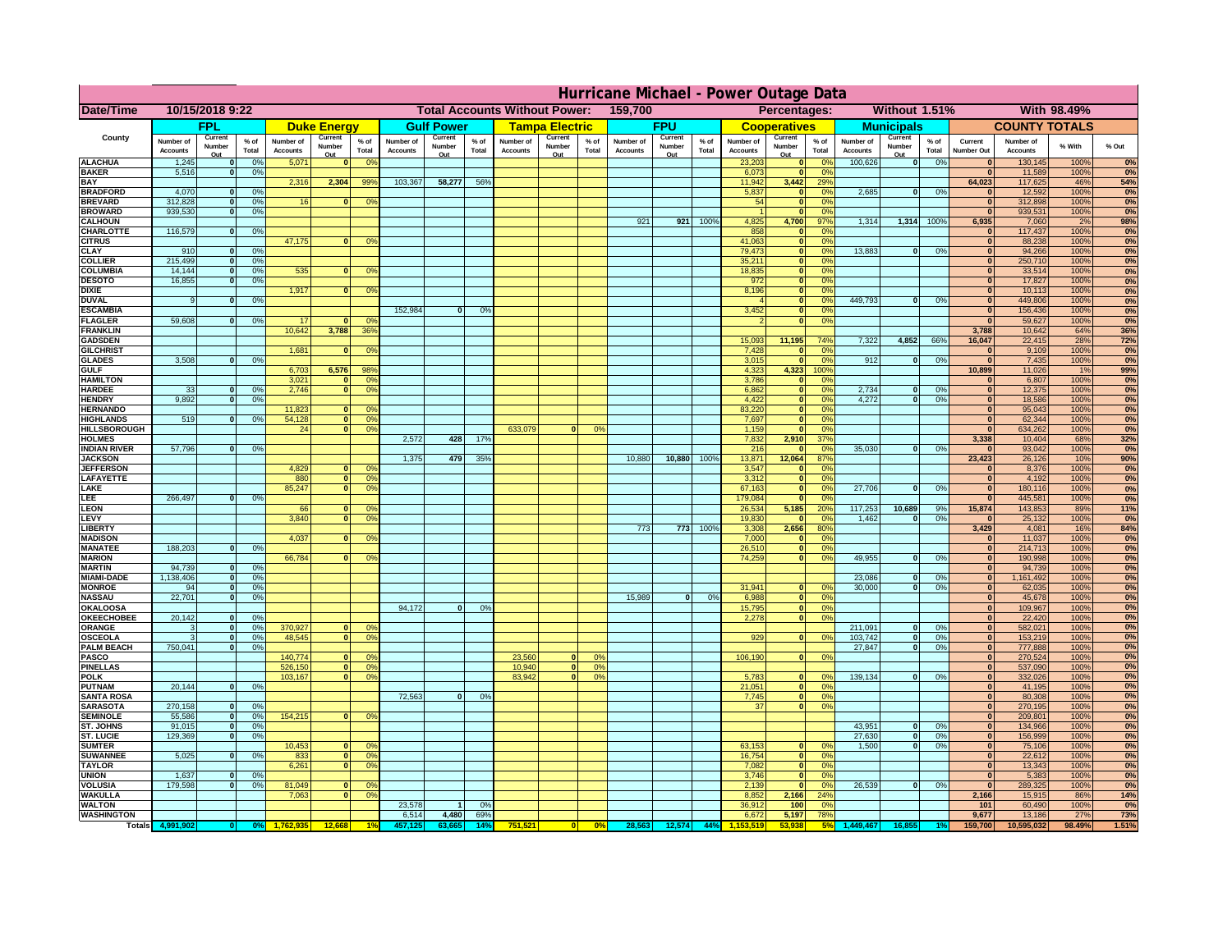|                                     | Hurricane Michael - Power Outage Data |                          |                 |                              |                          |                                                        |                              |                          |                 |                              |                                              |                |                              |                          |               |                              |                                      |                             |                              |                          |                 |                                |                              |              |           |
|-------------------------------------|---------------------------------------|--------------------------|-----------------|------------------------------|--------------------------|--------------------------------------------------------|------------------------------|--------------------------|-----------------|------------------------------|----------------------------------------------|----------------|------------------------------|--------------------------|---------------|------------------------------|--------------------------------------|-----------------------------|------------------------------|--------------------------|-----------------|--------------------------------|------------------------------|--------------|-----------|
| Date/Time                           | 10/15/2018 9:22                       |                          |                 |                              |                          | <b>Total Accounts Without Power:</b><br>159,700        |                              |                          |                 |                              | Without 1.51%<br>With 98.49%<br>Percentages: |                |                              |                          |               |                              |                                      |                             |                              |                          |                 |                                |                              |              |           |
|                                     |                                       | <b>FPL</b>               |                 |                              | <b>Duke Energy</b>       |                                                        |                              | <b>Gulf Power</b>        |                 |                              | <b>Tampa Electric</b>                        |                |                              | <b>FPU</b>               |               |                              | <b>Cooperatives</b>                  |                             |                              | <b>Municipals</b>        |                 |                                | <b>COUNTY TOTALS</b>         |              |           |
| County                              | Number of<br><b>Accounts</b>          | Current<br>Number<br>Out | $%$ of<br>Total | Number of<br><b>Accounts</b> | Current<br>Number<br>Out | $%$ of<br>Total                                        | Number of<br><b>Accounts</b> | Current<br>Number<br>Out | $%$ of<br>Total | Number of<br><b>Accounts</b> | Current<br>Number<br>Out                     | % of<br>Total  | Number of<br><b>Accounts</b> | Current<br>Number<br>Out | % of<br>Total | Number of<br><b>Accounts</b> | Current<br>Number<br>Out             | $%$ of<br>Total             | Number of<br><b>Accounts</b> | Current<br>Number<br>Out | $%$ of<br>Total | Current<br><b>Number Out</b>   | Number of<br><b>Accounts</b> | % With       | % Out     |
| <b>ALACHUA</b>                      | 1,245                                 |                          | 0 <sup>9</sup>  | 5,071                        |                          | 0 <sup>9</sup><br>0                                    |                              |                          |                 |                              |                                              |                |                              |                          |               | 23,203                       | $\mathbf 0$                          | 0 <sup>9</sup>              | 100,626                      | 0                        | 0%              |                                | 130,145                      | 100%         | 0%        |
| <b>BAKER</b><br><b>BAY</b>          | 5,516                                 |                          | 0 <sup>9</sup>  | 2,316                        | 2,304                    | 99%                                                    | 103,367                      | 58,277                   | 56%             |                              |                                              |                |                              |                          |               | 6,073<br>11,942              | $\mathbf{0}$<br>3,442                | 0%<br>29%                   |                              |                          |                 | $\Omega$<br>64,023             | 11,589<br>117,625            | 100%<br>46%  | 0%<br>54% |
| <b>BRADFORD</b>                     | 4,070                                 |                          | 0%              |                              |                          |                                                        |                              |                          |                 |                              |                                              |                |                              |                          |               | 5,837                        | $\mathbf{0}$                         | 0 <sup>9</sup>              | 2,685                        | 0                        | 0%              |                                | 12,592                       | 100%         | 0%        |
| <b>BREVARD</b>                      | 312,828                               |                          | 0%              | 16                           |                          | 0 <sup>9</sup>                                         |                              |                          |                 |                              |                                              |                |                              |                          |               | 54                           | $\mathbf{0}$                         | 0%                          |                              |                          |                 | $\bf{0}$                       | 312,898                      | 100%         | 0%        |
| <b>BROWARD</b>                      | 939.530                               |                          | 0%              |                              |                          |                                                        |                              |                          |                 |                              |                                              |                |                              |                          |               |                              | $\mathbf{0}$                         | 0%                          |                              |                          |                 | $\Omega$                       | 939,531                      | 100%         | 0%        |
| <b>CALHOUN</b>                      |                                       |                          |                 |                              |                          |                                                        |                              |                          |                 |                              |                                              |                | 921                          | 921                      | 100%          | 4,825                        | 4,700                                | 97%                         | 1,314                        | 1,314                    | 100%            | 6,935                          | 7,060                        | 2%           | 98%       |
| <b>CHARLOTTE</b><br><b>CITRUS</b>   | 116,579                               | $\Omega$                 | 0%              | 47,175                       |                          | 0 <sup>9</sup>                                         |                              |                          |                 |                              |                                              |                |                              |                          |               | 858<br>41,063                | $\mathbf 0$<br>$\mathbf 0$           | $\Omega$ <sup>o</sup><br>0% |                              |                          |                 | $\Omega$<br>$\Omega$           | 117,437<br>88,238            | 100%<br>100% | 0%<br>0%  |
| <b>CLAY</b>                         | 910                                   |                          | 0 <sup>9</sup>  |                              |                          |                                                        |                              |                          |                 |                              |                                              |                |                              |                          |               | 79,473                       | $\bullet$                            | 0%                          | 13,883                       | $\mathbf 0$              | 0%              | $\overline{0}$                 | 94,266                       | 100%         | 0%        |
| <b>COLLIER</b>                      | 215,499                               | $\Omega$                 | 0 <sup>9</sup>  |                              |                          |                                                        |                              |                          |                 |                              |                                              |                |                              |                          |               | 35,211                       | $\bullet$                            | 0%                          |                              |                          |                 | $\overline{0}$                 | 250,710                      | 100%         | 0%        |
| <b>COLUMBIA</b>                     | 14,144                                | $\Omega$                 | 0%              | 535                          |                          | 0 <sup>9</sup><br>$\mathbf{0}$                         |                              |                          |                 |                              |                                              |                |                              |                          |               | 18,835                       | $\bullet$                            | 0%                          |                              |                          |                 | $\overline{0}$                 | 33,514                       | 100%         | 0%        |
| <b>DESOTO</b>                       | 16,855                                |                          | 0%              |                              |                          |                                                        |                              |                          |                 |                              |                                              |                |                              |                          |               | 972                          | $\bullet$                            | 0%                          |                              |                          |                 | $\overline{0}$                 | 17,827                       | 100%         | 0%        |
| <b>DIXIE</b><br><b>DUVAL</b>        | $\mathbf{q}$                          | $\Omega$                 | 0%              | 1,917                        |                          | 0 <sup>9</sup><br>$\Omega$                             |                              |                          |                 |                              |                                              |                |                              |                          |               | 8,196<br>$\Lambda$           | $\bullet$<br>$\overline{\mathbf{0}}$ | 0%<br>0%                    | 449.793                      | 0                        | 0%              | 0 <br>$\overline{0}$           | 10,113<br>449,806            | 100%<br>100% | 0%<br>0%  |
| <b>ESCAMBIA</b>                     |                                       |                          |                 |                              |                          |                                                        | 152.984                      | $\mathbf{0}$             | 0%              |                              |                                              |                |                              |                          |               | 3,452                        | $\overline{\mathbf{0}}$              | 0%                          |                              |                          |                 | $\overline{0}$                 | 156,436                      | 100%         | 0%        |
| <b>FLAGLER</b>                      | 59,608                                |                          | 0%              | 17                           |                          | $\Omega$ <sup>o</sup><br>$\Omega$                      |                              |                          |                 |                              |                                              |                |                              |                          |               | $\mathcal{P}$                | $\overline{\mathbf{0}}$              | 0%                          |                              |                          |                 | $\overline{0}$                 | 59,627                       | 100%         | 0%        |
| <b>FRANKLIN</b>                     |                                       |                          |                 | 10.642                       | 3,788                    | 36%                                                    |                              |                          |                 |                              |                                              |                |                              |                          |               |                              |                                      |                             |                              |                          |                 | 3,788                          | 10,642                       | 64%          | 36%       |
| <b>GADSDEN</b>                      |                                       |                          |                 |                              |                          |                                                        |                              |                          |                 |                              |                                              |                |                              |                          |               | 15,093                       | 11,195                               | 74%                         | 7.322                        | 4.852                    | 66%             | 16.047                         | 22,415                       | 28%          | 72%       |
| <b>GILCHRIST</b><br><b>GLADES</b>   | 3,508                                 |                          | 0 <sup>9</sup>  | 1,681                        |                          | 0 <sup>9</sup><br>$\mathbf{0}$                         |                              |                          |                 |                              |                                              |                |                              |                          |               | 7,428<br>3,015               | $\mathbf{0}$<br>$\mathbf{0}$         | 0%<br>0%                    | 912                          | $\mathbf{0}$             | 0%              | $\overline{0}$<br>$\mathbf{0}$ | 9,109<br>7,435               | 100%<br>100% | 0%<br>0%  |
| <b>GULF</b>                         |                                       |                          |                 | 6,703                        | 6,576                    | 98%                                                    |                              |                          |                 |                              |                                              |                |                              |                          |               | 4,323                        | 4,323                                | 100%                        |                              |                          |                 | 10,899                         | 11,026                       | 1%           | 99%       |
| <b>HAMILTON</b>                     |                                       |                          |                 | 3,021                        |                          | $\mathbf{0}$<br>0 <sup>9</sup>                         |                              |                          |                 |                              |                                              |                |                              |                          |               | 3,786                        | $\mathbf{0}$                         | 0%                          |                              |                          |                 | $\mathbf{0}$                   | 6,807                        | 100%         | 0%        |
| <b>HARDEE</b>                       | 33                                    |                          | 0%              | 2,746                        |                          | $\overline{0}$<br>0%                                   |                              |                          |                 |                              |                                              |                |                              |                          |               | 6,862                        | ō                                    | 0%                          | 2,734                        | $\mathbf{0}$             | 0%              | 0                              | 12,375                       | 100%         | 0%        |
| <b>HENDRY</b>                       | 9,892                                 |                          | 0%              |                              |                          |                                                        |                              |                          |                 |                              |                                              |                |                              |                          |               | 4,422                        | 0                                    | 0%                          | 4,272                        | $\overline{0}$           | 0%              | 0                              | 18,586                       | 100%         | 0%        |
| <b>HERNANDO</b><br><b>HIGHLANDS</b> | 519                                   |                          | 0 <sup>9</sup>  | 11,823<br>54,128             |                          | $\mathbf{0}$<br>O <sup>9</sup><br>$\overline{0}$<br>0% |                              |                          |                 |                              |                                              |                |                              |                          |               | 83,220<br>7,697              | 0 <br> 0                             | 0%<br>0%                    |                              |                          |                 | 0 <br> 0                       | 95,043<br>62,344             | 100%<br>100% | 0%        |
| <b>HILLSBOROUGH</b>                 |                                       |                          |                 | 24                           |                          | $\overline{0}$<br>0%                                   |                              |                          |                 | 633,079                      | $\Omega$                                     | 0 <sup>2</sup> |                              |                          |               | 1,159                        | $\mathbf{0}$                         | 0%                          |                              |                          |                 | 0                              | 634,262                      | 100%         | 0%<br>0%  |
| <b>HOLMES</b>                       |                                       |                          |                 |                              |                          |                                                        | 2.572                        | 428                      | 17%             |                              |                                              |                |                              |                          |               | 7,832                        | 2,910                                | 37%                         |                              |                          |                 | 3,338                          | 10,404                       | 68%          | 32%       |
| <b>INDIAN RIVER</b>                 | 57,796                                |                          | 0%              |                              |                          |                                                        |                              |                          |                 |                              |                                              |                |                              |                          |               | 216                          | $\Omega$                             | 0%                          | 35,030                       | 0                        | 0%              | $\mathbf{0}$                   | 93,042                       | 100%         | 0%        |
| <b>JACKSON</b>                      |                                       |                          |                 |                              |                          |                                                        | 1,375                        | 479                      | 35 <sup>o</sup> |                              |                                              |                | 10,880                       | 10,880                   | 100%          | 13,871                       | 12,064                               | 87%                         |                              |                          |                 | 23,423                         | 26,126                       | 10%          | 90%       |
| <b>JEFFERSON</b>                    |                                       |                          |                 | 4,829                        |                          | οl<br>0 <sup>6</sup>                                   |                              |                          |                 |                              |                                              |                |                              |                          |               | 3,547                        | $\mathbf{0}$                         | 0%                          |                              |                          |                 | $\mathbf{0}$                   | 8,376                        | 100%         | 0%        |
| LAFAYETTE<br>LAKE                   |                                       |                          |                 | 880<br>85,247                |                          | 0 <br>0 <sup>9</sup><br>$\Omega$<br>0 <sup>9</sup>     |                              |                          |                 |                              |                                              |                |                              |                          |               | 3,312<br>67,163              | $\mathbf{0}$<br> 0                   | 0%<br>0%                    | 27,706                       | $\mathbf{0}$             | 0%              | 0 <br> 0                       | 4,192<br>180,116             | 100%<br>100% | 0%<br>0%  |
| LEE                                 | 266,497                               | $\Omega$                 | 0%              |                              |                          |                                                        |                              |                          |                 |                              |                                              |                |                              |                          |               | 179,084                      | $\mathbf{0}$                         | 0%                          |                              |                          |                 | 0                              | 445,581                      | 100%         | 0%        |
| <b>LEON</b>                         |                                       |                          |                 | 66                           |                          | n l<br>O <sup>9</sup>                                  |                              |                          |                 |                              |                                              |                |                              |                          |               | 26,534                       | 5,185                                | 20%                         | 117,253                      | 10,689                   | 9%              | 15,874                         | 143,853                      | 89%          | 11%       |
| LEVY                                |                                       |                          |                 | 3,840                        |                          | 0 <sup>9</sup><br>0                                    |                              |                          |                 |                              |                                              |                |                              |                          |               | 19,830                       | $\mathbf{0}$                         | 0 <sup>2</sup>              | 1,462                        | $\Omega$                 | 0%              | $\mathbf{0}$                   | 25,132                       | 100%         | 0%        |
| <b>LIBERTY</b>                      |                                       |                          |                 |                              |                          |                                                        |                              |                          |                 |                              |                                              |                | 773                          | 773                      | 100%          | 3,308                        | 2,656                                | 80%                         |                              |                          |                 | 3,429                          | 4,081                        | 16%          | 84%       |
| <b>MADISON</b>                      |                                       | n                        |                 | 4,037                        |                          | 0 <sup>9</sup>                                         |                              |                          |                 |                              |                                              |                |                              |                          |               | 7,000                        | $\mathbf{0}$                         | 0%                          |                              |                          |                 | $\Omega$                       | 11,037                       | 100%         | 0%        |
| <b>MANATEE</b><br><b>MARION</b>     | 188,203                               |                          | 0%              | 66,784                       |                          | 0 <sup>9</sup>                                         |                              |                          |                 |                              |                                              |                |                              |                          |               | 26,510<br>74,259             | 0 <br> 0                             | 0%<br>0%                    | 49,955                       | $\mathbf{0}$             | 0%              | 0 <br> 0                       | 214,713<br>190,998           | 100%<br>100% | 0%<br>0%  |
| <b>MARTIN</b>                       | 94,739                                | $\Omega$                 | 0 <sup>9</sup>  |                              |                          |                                                        |                              |                          |                 |                              |                                              |                |                              |                          |               |                              |                                      |                             |                              |                          |                 | 0                              | 94,739                       | 100%         | 0%        |
| <b>MIAMI-DADE</b>                   | 1,138,406                             | $\Omega$                 | 0%              |                              |                          |                                                        |                              |                          |                 |                              |                                              |                |                              |                          |               |                              |                                      |                             | 23,086                       | $\mathbf 0$              | 0%              | 0                              | 1,161,492                    | 100%         | 0%        |
| <b>MONROE</b>                       | 94                                    | 0                        | 0%              |                              |                          |                                                        |                              |                          |                 |                              |                                              |                |                              |                          |               | 31,941                       | 0                                    | $\Omega$ %                  | 30,000                       | $\mathbf{0}$             | 0%              | 0                              | 62,035                       | 100%         | 0%        |
| <b>NASSAU</b>                       | 22,701                                | $\Omega$                 | 0%              |                              |                          |                                                        |                              |                          |                 |                              |                                              |                | 15,989                       | 0                        | 0%            | 6,988                        | 0                                    | 0%                          |                              |                          |                 | 0                              | 45,678                       | 100%         | 0%        |
| OKALOOSA<br><b>OKEECHOBEE</b>       | 20,142                                |                          | 0 <sup>9</sup>  |                              |                          |                                                        | 94,172                       | $\mathbf{0}$             | 0%              |                              |                                              |                |                              |                          |               | 15,795<br>2,278              |                                      | 0 <br>0%<br>0%<br> 0        |                              |                          |                 | 0                              | 109,967<br>22,420            | 100%<br>100% | 0%<br>0%  |
| ORANGE                              |                                       | $\Omega$                 | 0 <sup>9</sup>  | 370,927                      |                          | $\Omega$<br>0 <sup>6</sup>                             |                              |                          |                 |                              |                                              |                |                              |                          |               |                              |                                      |                             | 211,091                      | $\mathbf{o}$             | 0%              | 0 <br> 0                       | 582,021                      | 100%         | 0%        |
| <b>OSCEOLA</b>                      |                                       | $\Omega$                 | 0 <sup>9</sup>  | 48,545                       |                          | 0 <sup>9</sup><br>$\Omega$                             |                              |                          |                 |                              |                                              |                |                              |                          |               | 929                          |                                      | 0 <br>0%                    | 103,742                      | ol                       | 0%              | 0                              | 153,219                      | 100%         | 0%        |
| <b>PALM BEACH</b>                   | 750,041                               | $\Omega$                 | 0%              |                              |                          |                                                        |                              |                          |                 |                              |                                              |                |                              |                          |               |                              |                                      |                             | 27,847                       | $\mathbf{0}$             | 0%              | 0                              | 777,888                      | 100%         | 0%        |
| <b>PASCO</b>                        |                                       |                          |                 | 140,774                      |                          | n l<br>0 <sup>9</sup>                                  |                              |                          |                 | 23,560                       | $\mathbf{0}$                                 | 0 <sup>9</sup> |                              |                          |               | 106,190                      |                                      | 0 <br>0%                    |                              |                          |                 | 0                              | 270,524                      | 100%         | 0%        |
| <b>PINELLAS</b><br><b>POLK</b>      |                                       |                          |                 | 526,150<br>103,167           |                          | 0 <sup>9</sup><br> 0 <br>0%<br>$\mathbf{0}$            |                              |                          |                 | 10,940<br>83,942             | 0 <br> 0                                     | 0%<br>0%       |                              |                          |               | 5,783                        | 0                                    | 0 <sup>9</sup>              | 139,134                      | 0                        | 0%              | $\bf{0}$<br>$\bf{0}$           | 537,090<br>332,026           | 100%<br>100% | 0%<br>0%  |
| <b>PUTNAM</b>                       | 20,144                                | $\mathbf{0}$             | 0%              |                              |                          |                                                        |                              |                          |                 |                              |                                              |                |                              |                          |               | 21,051                       | 0                                    | 0%                          |                              |                          |                 | $\mathbf{0}$                   | 41,195                       | 100%         | 0%        |
| <b>SANTA ROSA</b>                   |                                       |                          |                 |                              |                          |                                                        | 72,563                       | $\mathbf{0}$             | 0%              |                              |                                              |                |                              |                          |               | 7,745                        |                                      | 0 <br>0%                    |                              |                          |                 | $\mathbf{0}$                   | 80,308                       | 100%         | 0%        |
| <b>SARASOTA</b>                     | 270,158                               | $\Omega$                 | 0%              |                              |                          |                                                        |                              |                          |                 |                              |                                              |                |                              |                          |               | 37                           | $\overline{0}$                       | 0%                          |                              |                          |                 | $\mathbf{0}$                   | 270,195                      | 100%         | 0%        |
| <b>SEMINOLE</b>                     | 55,586                                | $\mathbf{0}$             | 0 <sup>9</sup>  | 154,215                      |                          | 0%<br>$\mathbf{0}$                                     |                              |                          |                 |                              |                                              |                |                              |                          |               |                              |                                      |                             |                              |                          |                 | $\mathbf{0}$                   | 209,801                      | 100%         | 0%        |
| <b>ST. JOHNS</b>                    | 91.015                                | $\mathbf{0}$             | 0 <sup>9</sup>  |                              |                          |                                                        |                              |                          |                 |                              |                                              |                |                              |                          |               |                              |                                      |                             | 43.951                       | - O I                    | 0%              | 0                              | 134,966                      | 100%         | 0%        |
| ST. LUCIE<br><b>SUMTER</b>          | 129.369                               | $\Omega$                 | 0%              | 10,453                       |                          | $\mathbf{0}$<br>$\Omega$                               |                              |                          |                 |                              |                                              |                |                              |                          |               | 63,153                       | $\mathbf{0}$                         | $\Omega$ <sup>o</sup>       | 27.630<br>1,500              | - O I<br> 0              | 0%<br>0%        | 0 <br> 0                       | 156.999<br>75,106            | 100%<br>100% | 0%<br>0%  |
| <b>SUWANNEE</b>                     | 5,025                                 |                          | 0%              | 833                          |                          | 0 <br>0 <sup>9</sup>                                   |                              |                          |                 |                              |                                              |                |                              |                          |               | 16,754                       | 0                                    | 0%                          |                              |                          |                 | $\bf{0}$                       | 22,612                       | 100%         | 0%        |
| <b>TAYLOR</b>                       |                                       |                          |                 | 6,261                        |                          | 0 <br>0 <sup>9</sup>                                   |                              |                          |                 |                              |                                              |                |                              |                          |               | 7,082                        | 0                                    | 0%                          |                              |                          |                 | $\bf{0}$                       | 13,343                       | 100%         | 0%        |
| <b>UNION</b>                        | 1,637                                 |                          | 0 <sup>9</sup>  |                              |                          |                                                        |                              |                          |                 |                              |                                              |                |                              |                          |               | 3,746                        | $\mathbf 0$                          | 0%                          |                              |                          |                 | $\bf{0}$                       | 5,383                        | 100%         | 0%        |
| VOLUSIA                             | 179.598                               |                          | 0 <sup>9</sup>  | 81,049                       |                          | $\mathbf{0}$<br>$\Omega$                               |                              |                          |                 |                              |                                              |                |                              |                          |               | 2,139                        | $\mathbf{0}$                         | 0%                          | 26,539                       | 0                        | 0%              | $\bf{0}$                       | 289,325                      | 100%         | 0%        |
| <b>WAKULLA</b><br><b>WALTON</b>     |                                       |                          |                 | 7,063                        |                          | 0 <sup>9</sup><br>$\mathbf{0}$                         | 23,578                       |                          | 0%              |                              |                                              |                |                              |                          |               | 8,852<br>36,912              | 2,166<br>100                         | 24%<br>0%                   |                              |                          |                 | 2,166<br>101                   | 15,915<br>60,490             | 86%<br>100%  | 14%<br>0% |
| <b>WASHINGTON</b>                   |                                       |                          |                 |                              |                          |                                                        | 6,514                        | 4,480                    | 69%             |                              |                                              |                |                              |                          |               | 6,672                        | 5,197                                | 78%                         |                              |                          |                 | 9,677                          | 13,186                       | 27%          | 73%       |
| Totals 4,9                          |                                       |                          |                 |                              |                          |                                                        |                              | 63.66                    | $14^{\circ}$    | 751,521                      |                                              | 0%             | 28,563                       | 12,574                   | 44%           |                              |                                      |                             | ,449,46                      |                          |                 | 159,700                        | 10,595,032                   | 98.49%       | 1.51%     |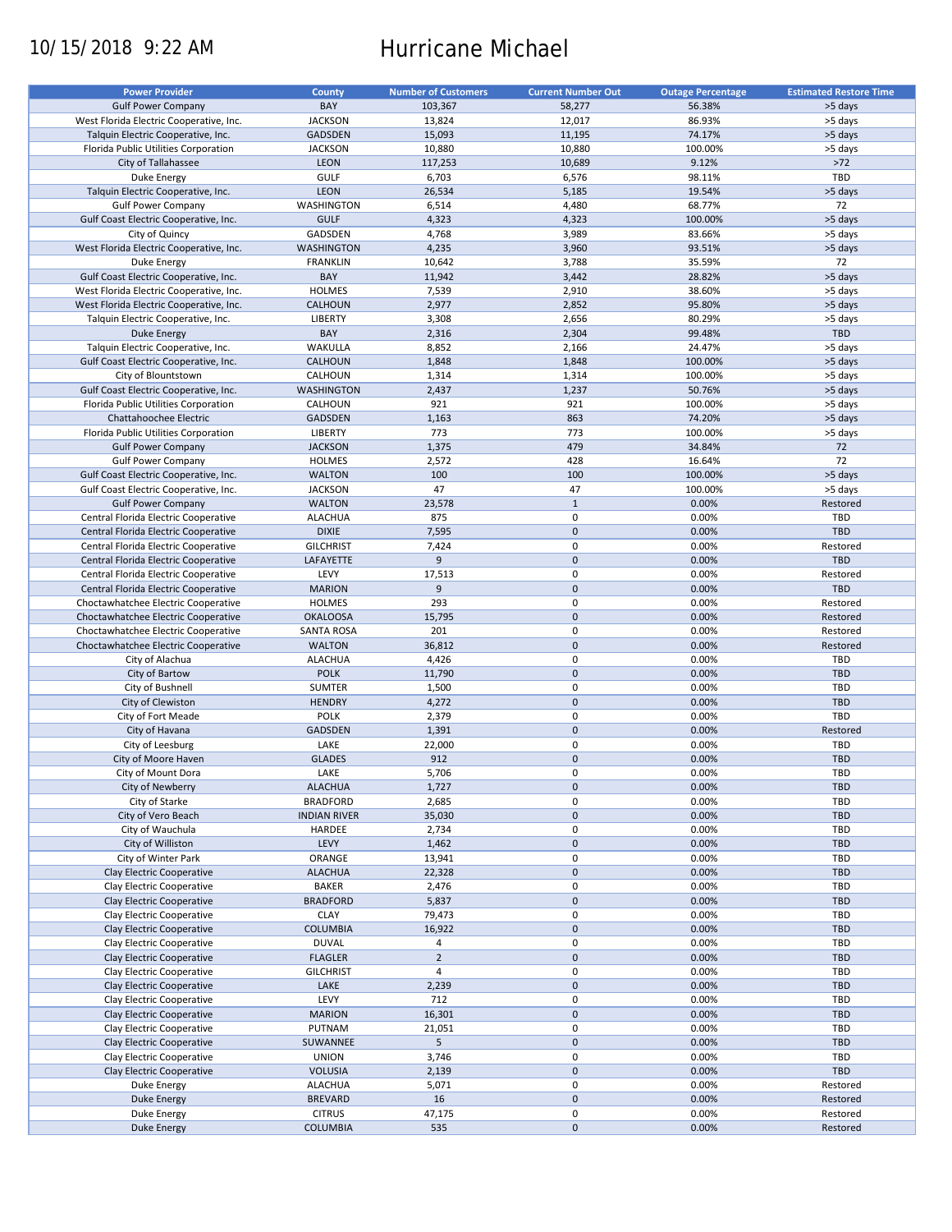# 10/15/2018 9:22 AM Hurricane Michael

| <b>Power Provider</b>                   | County              | <b>Number of Customers</b> | <b>Current Number Out</b> | <b>Outage Percentage</b> | <b>Estimated Restore Time</b> |
|-----------------------------------------|---------------------|----------------------------|---------------------------|--------------------------|-------------------------------|
|                                         |                     |                            |                           |                          |                               |
| <b>Gulf Power Company</b>               | BAY                 | 103,367                    | 58,277                    | 56.38%                   | >5 days                       |
| West Florida Electric Cooperative, Inc. | <b>JACKSON</b>      | 13,824                     | 12,017                    | 86.93%                   | >5 days                       |
| Talquin Electric Cooperative, Inc.      | <b>GADSDEN</b>      | 15,093                     | 11,195                    | 74.17%                   | >5 days                       |
| Florida Public Utilities Corporation    | <b>JACKSON</b>      | 10,880                     | 10,880                    | 100.00%                  | >5 days                       |
| City of Tallahassee                     | <b>LEON</b>         | 117,253                    | 10,689                    | 9.12%                    | $>72$                         |
| Duke Energy                             | GULF                | 6,703                      | 6,576                     | 98.11%                   | TBD                           |
| Talquin Electric Cooperative, Inc.      | LEON                | 26,534                     | 5,185                     | 19.54%                   | >5 days                       |
|                                         |                     |                            |                           |                          |                               |
| <b>Gulf Power Company</b>               | WASHINGTON          | 6,514                      | 4,480                     | 68.77%                   | 72                            |
| Gulf Coast Electric Cooperative, Inc.   | <b>GULF</b>         | 4,323                      | 4,323                     | 100.00%                  | >5 days                       |
| City of Quincy                          | GADSDEN             | 4,768                      | 3,989                     | 83.66%                   | >5 days                       |
| West Florida Electric Cooperative, Inc. | <b>WASHINGTON</b>   | 4,235                      | 3,960                     | 93.51%                   | >5 days                       |
| Duke Energy                             | <b>FRANKLIN</b>     | 10,642                     | 3,788                     | 35.59%                   | 72                            |
| Gulf Coast Electric Cooperative, Inc.   | BAY                 | 11,942                     | 3,442                     | 28.82%                   | >5 days                       |
| West Florida Electric Cooperative, Inc. | <b>HOLMES</b>       | 7,539                      | 2,910                     | 38.60%                   | >5 days                       |
|                                         |                     |                            |                           |                          |                               |
| West Florida Electric Cooperative, Inc. | <b>CALHOUN</b>      | 2,977                      | 2,852                     | 95.80%                   | >5 days                       |
| Talquin Electric Cooperative, Inc.      | <b>LIBERTY</b>      | 3,308                      | 2,656                     | 80.29%                   | >5 days                       |
| <b>Duke Energy</b>                      | BAY                 | 2,316                      | 2,304                     | 99.48%                   | <b>TBD</b>                    |
| Talquin Electric Cooperative, Inc.      | <b>WAKULLA</b>      | 8,852                      | 2,166                     | 24.47%                   | >5 days                       |
| Gulf Coast Electric Cooperative, Inc.   | CALHOUN             | 1,848                      | 1,848                     | 100.00%                  | >5 days                       |
| City of Blountstown                     | CALHOUN             | 1,314                      | 1,314                     | 100.00%                  | >5 days                       |
| Gulf Coast Electric Cooperative, Inc.   | <b>WASHINGTON</b>   |                            | 1,237                     | 50.76%                   | >5 days                       |
|                                         |                     | 2,437                      |                           |                          |                               |
| Florida Public Utilities Corporation    | CALHOUN             | 921                        | 921                       | 100.00%                  | >5 days                       |
| Chattahoochee Electric                  | <b>GADSDEN</b>      | 1,163                      | 863                       | 74.20%                   | >5 days                       |
| Florida Public Utilities Corporation    | LIBERTY             | 773                        | 773                       | 100.00%                  | >5 days                       |
| <b>Gulf Power Company</b>               | <b>JACKSON</b>      | 1,375                      | 479                       | 34.84%                   | 72                            |
| <b>Gulf Power Company</b>               | <b>HOLMES</b>       | 2,572                      | 428                       | 16.64%                   | 72                            |
| Gulf Coast Electric Cooperative, Inc.   | <b>WALTON</b>       | 100                        | 100                       | 100.00%                  | >5 days                       |
| Gulf Coast Electric Cooperative, Inc.   | <b>JACKSON</b>      | 47                         | 47                        | 100.00%                  | >5 days                       |
|                                         |                     |                            |                           |                          |                               |
| <b>Gulf Power Company</b>               | <b>WALTON</b>       | 23,578                     | $\mathbf{1}$              | 0.00%                    | Restored                      |
| Central Florida Electric Cooperative    | <b>ALACHUA</b>      | 875                        | 0                         | 0.00%                    | TBD                           |
| Central Florida Electric Cooperative    | <b>DIXIE</b>        | 7,595                      | $\mathbf 0$               | 0.00%                    | <b>TBD</b>                    |
| Central Florida Electric Cooperative    | <b>GILCHRIST</b>    | 7,424                      | 0                         | 0.00%                    | Restored                      |
| Central Florida Electric Cooperative    | LAFAYETTE           | 9                          | $\mathbf 0$               | 0.00%                    | <b>TBD</b>                    |
| Central Florida Electric Cooperative    | LEVY                | 17,513                     | 0                         | 0.00%                    | Restored                      |
| Central Florida Electric Cooperative    | <b>MARION</b>       | 9                          | $\mathbf 0$               | 0.00%                    | <b>TBD</b>                    |
|                                         |                     |                            | 0                         | 0.00%                    |                               |
| Choctawhatchee Electric Cooperative     | <b>HOLMES</b>       | 293                        |                           |                          | Restored                      |
| Choctawhatchee Electric Cooperative     | <b>OKALOOSA</b>     | 15,795                     | $\mathbf 0$               | 0.00%                    | Restored                      |
| Choctawhatchee Electric Cooperative     | <b>SANTA ROSA</b>   | 201                        | 0                         | 0.00%                    | Restored                      |
| Choctawhatchee Electric Cooperative     | <b>WALTON</b>       | 36,812                     | $\mathbf 0$               | 0.00%                    | Restored                      |
| City of Alachua                         | <b>ALACHUA</b>      | 4,426                      | 0                         | 0.00%                    | TBD                           |
| City of Bartow                          | <b>POLK</b>         | 11,790                     | $\mathbf{0}$              | 0.00%                    | <b>TBD</b>                    |
| City of Bushnell                        | <b>SUMTER</b>       | 1,500                      | 0                         | 0.00%                    | <b>TBD</b>                    |
| City of Clewiston                       | <b>HENDRY</b>       | 4,272                      | $\mathbf 0$               | 0.00%                    | <b>TBD</b>                    |
|                                         |                     |                            |                           |                          |                               |
| City of Fort Meade                      | <b>POLK</b>         | 2,379                      | 0                         | 0.00%                    | TBD                           |
| City of Havana                          | <b>GADSDEN</b>      | 1,391                      | $\mathbf 0$               | 0.00%                    | Restored                      |
| City of Leesburg                        | LAKE                | 22,000                     | 0                         | 0.00%                    | <b>TBD</b>                    |
| City of Moore Haven                     | <b>GLADES</b>       | 912                        | $\mathbf 0$               | 0.00%                    | <b>TBD</b>                    |
| City of Mount Dora                      | LAKE                | 5,706                      | $\mathbf 0$               | 0.00%                    | TBD                           |
| City of Newberry                        | <b>ALACHUA</b>      | 1,727                      | $\pmb{0}$                 | 0.00%                    | <b>TBD</b>                    |
| City of Starke                          | <b>BRADFORD</b>     |                            | 0                         | 0.00%                    | TBD                           |
|                                         |                     | 2,685                      |                           |                          |                               |
| City of Vero Beach                      | <b>INDIAN RIVER</b> | 35,030                     | $\pmb{0}$                 | 0.00%                    | TBD                           |
| City of Wauchula                        | HARDEE              | 2,734                      | 0                         | 0.00%                    | TBD                           |
| City of Williston                       | LEVY                | 1,462                      | $\mathsf{O}\xspace$       | 0.00%                    | <b>TBD</b>                    |
| City of Winter Park                     | ORANGE              | 13,941                     | 0                         | 0.00%                    | TBD                           |
| Clay Electric Cooperative               | <b>ALACHUA</b>      | 22,328                     | $\mathsf{O}\xspace$       | 0.00%                    | <b>TBD</b>                    |
| Clay Electric Cooperative               | BAKER               | 2,476                      | 0                         | 0.00%                    | TBD                           |
| Clay Electric Cooperative               | <b>BRADFORD</b>     | 5,837                      | $\pmb{0}$                 | 0.00%                    | <b>TBD</b>                    |
|                                         |                     |                            |                           |                          |                               |
| Clay Electric Cooperative               | <b>CLAY</b>         | 79,473                     | 0                         | 0.00%                    | TBD                           |
| Clay Electric Cooperative               | <b>COLUMBIA</b>     | 16,922                     | $\pmb{0}$                 | 0.00%                    | <b>TBD</b>                    |
| Clay Electric Cooperative               | <b>DUVAL</b>        | 4                          | 0                         | 0.00%                    | TBD                           |
| Clay Electric Cooperative               | <b>FLAGLER</b>      | $\overline{2}$             | $\pmb{0}$                 | 0.00%                    | <b>TBD</b>                    |
| Clay Electric Cooperative               | <b>GILCHRIST</b>    | $\overline{4}$             | $\pmb{0}$                 | 0.00%                    | TBD                           |
| Clay Electric Cooperative               | LAKE                | 2,239                      | $\pmb{0}$                 | 0.00%                    | TBD                           |
| Clay Electric Cooperative               | LEVY                | 712                        | $\pmb{0}$                 | 0.00%                    | TBD                           |
|                                         |                     |                            |                           |                          |                               |
| Clay Electric Cooperative               | <b>MARION</b>       | 16,301                     | $\pmb{0}$                 | 0.00%                    | <b>TBD</b>                    |
| Clay Electric Cooperative               | PUTNAM              | 21,051                     | $\pmb{0}$                 | 0.00%                    | TBD                           |
| Clay Electric Cooperative               | SUWANNEE            | 5                          | $\pmb{0}$                 | 0.00%                    | TBD                           |
| Clay Electric Cooperative               | <b>UNION</b>        | 3,746                      | $\pmb{0}$                 | 0.00%                    | TBD                           |
| Clay Electric Cooperative               | <b>VOLUSIA</b>      | 2,139                      | $\pmb{0}$                 | 0.00%                    | <b>TBD</b>                    |
| Duke Energy                             | <b>ALACHUA</b>      | 5,071                      | 0                         | 0.00%                    | Restored                      |
|                                         |                     | 16                         | $\pmb{0}$                 |                          |                               |
| <b>Duke Energy</b>                      | <b>BREVARD</b>      |                            |                           | 0.00%                    | Restored                      |
| Duke Energy                             | <b>CITRUS</b>       | 47,175                     | 0                         | 0.00%                    | Restored                      |
| <b>Duke Energy</b>                      | <b>COLUMBIA</b>     | 535                        | $\pmb{0}$                 | 0.00%                    | Restored                      |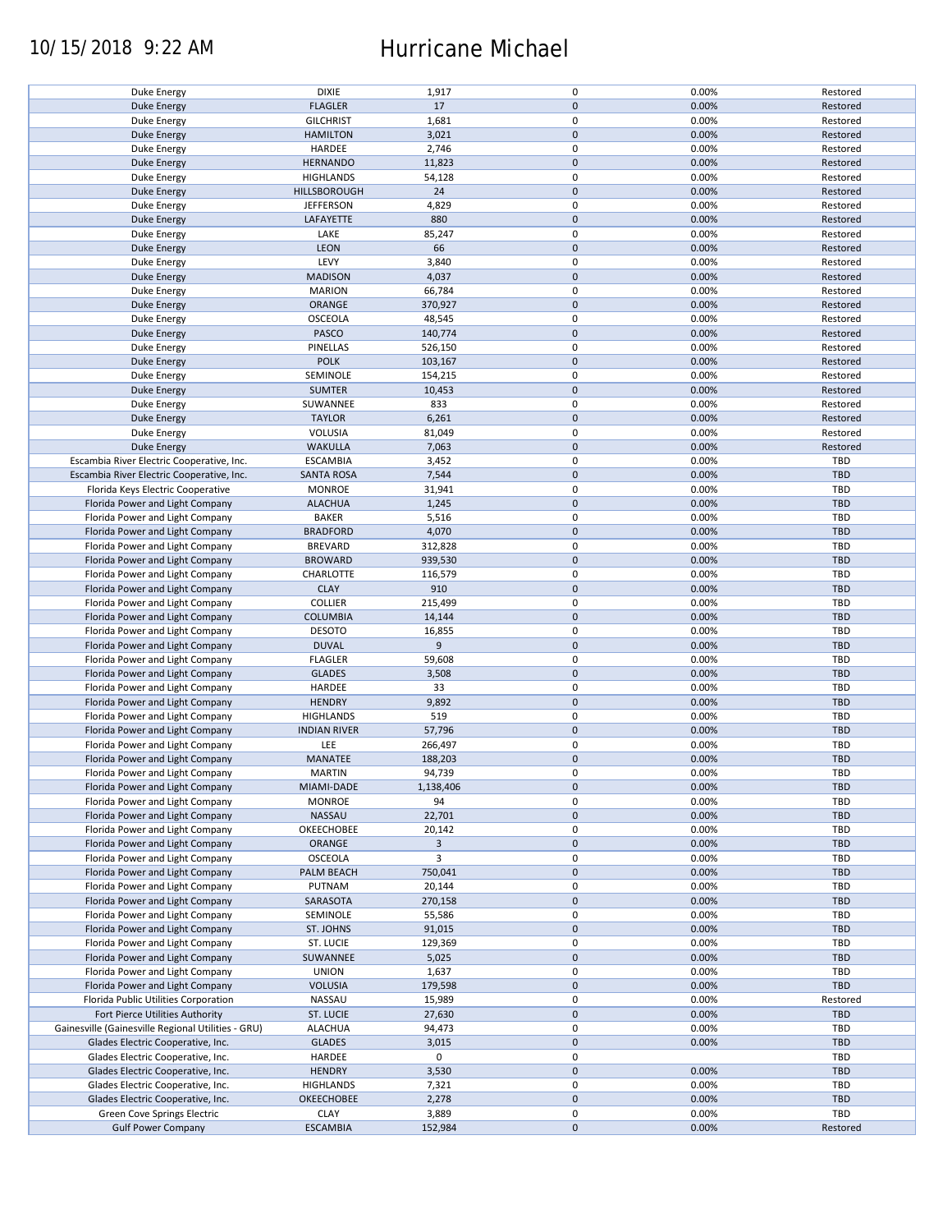## 10/15/2018 9:22 AM Hurricane Michael

| Duke Energy                                        | <b>DIXIE</b>        | 1,917          | $\pmb{0}$           | 0.00% | Restored   |
|----------------------------------------------------|---------------------|----------------|---------------------|-------|------------|
| <b>Duke Energy</b>                                 | <b>FLAGLER</b>      | 17             | $\mathbf 0$         | 0.00% | Restored   |
|                                                    |                     |                |                     |       |            |
| Duke Energy                                        | <b>GILCHRIST</b>    | 1,681          | $\pmb{0}$           | 0.00% | Restored   |
| <b>Duke Energy</b>                                 | <b>HAMILTON</b>     | 3,021          | $\mathbf 0$         | 0.00% | Restored   |
| Duke Energy                                        | HARDEE              | 2,746          | $\pmb{0}$           | 0.00% | Restored   |
|                                                    |                     |                |                     |       |            |
| <b>Duke Energy</b>                                 | <b>HERNANDO</b>     | 11,823         | $\mathbf 0$         | 0.00% | Restored   |
| Duke Energy                                        | <b>HIGHLANDS</b>    | 54,128         | 0                   | 0.00% | Restored   |
| <b>Duke Energy</b>                                 | HILLSBOROUGH        | 24             | $\mathbf 0$         | 0.00% | Restored   |
|                                                    |                     |                |                     |       |            |
| Duke Energy                                        | <b>JEFFERSON</b>    | 4,829          | $\pmb{0}$           | 0.00% | Restored   |
| <b>Duke Energy</b>                                 | LAFAYETTE           | 880            | $\pmb{0}$           | 0.00% | Restored   |
|                                                    |                     |                | $\pmb{0}$           |       |            |
| Duke Energy                                        | LAKE                | 85,247         |                     | 0.00% | Restored   |
| <b>Duke Energy</b>                                 | LEON                | 66             | $\pmb{0}$           | 0.00% | Restored   |
| Duke Energy                                        | LEVY                | 3,840          | $\pmb{0}$           | 0.00% | Restored   |
|                                                    |                     |                |                     |       |            |
| <b>Duke Energy</b>                                 | <b>MADISON</b>      | 4,037          | $\pmb{0}$           | 0.00% | Restored   |
| Duke Energy                                        | <b>MARION</b>       | 66,784         | $\pmb{0}$           | 0.00% | Restored   |
| Duke Energy                                        | ORANGE              | 370,927        | $\pmb{0}$           | 0.00% | Restored   |
|                                                    |                     |                |                     |       |            |
| Duke Energy                                        | OSCEOLA             | 48,545         | $\mathbf 0$         | 0.00% | Restored   |
| <b>Duke Energy</b>                                 | PASCO               | 140,774        | $\pmb{0}$           | 0.00% | Restored   |
|                                                    |                     |                |                     |       |            |
| Duke Energy                                        | <b>PINELLAS</b>     | 526,150        | 0                   | 0.00% | Restored   |
| Duke Energy                                        | <b>POLK</b>         | 103,167        | $\pmb{0}$           | 0.00% | Restored   |
|                                                    | SEMINOLE            | 154,215        | 0                   | 0.00% | Restored   |
| Duke Energy                                        |                     |                |                     |       |            |
| Duke Energy                                        | <b>SUMTER</b>       | 10,453         | $\pmb{0}$           | 0.00% | Restored   |
| <b>Duke Energy</b>                                 | SUWANNEE            | 833            | 0                   | 0.00% | Restored   |
|                                                    |                     |                |                     |       |            |
| <b>Duke Energy</b>                                 | <b>TAYLOR</b>       | 6,261          | $\pmb{0}$           | 0.00% | Restored   |
| Duke Energy                                        | <b>VOLUSIA</b>      | 81,049         | $\pmb{0}$           | 0.00% | Restored   |
|                                                    |                     |                |                     |       |            |
| <b>Duke Energy</b>                                 | <b>WAKULLA</b>      | 7,063          | $\mathsf{O}\xspace$ | 0.00% | Restored   |
| Escambia River Electric Cooperative, Inc.          | <b>ESCAMBIA</b>     | 3,452          | 0                   | 0.00% | TBD        |
| Escambia River Electric Cooperative, Inc.          | <b>SANTA ROSA</b>   | 7,544          | $\mathsf{O}\xspace$ | 0.00% | <b>TBD</b> |
|                                                    |                     |                |                     |       |            |
| Florida Keys Electric Cooperative                  | <b>MONROE</b>       | 31,941         | 0                   | 0.00% | TBD        |
| Florida Power and Light Company                    | <b>ALACHUA</b>      | 1,245          | $\pmb{0}$           | 0.00% | <b>TBD</b> |
|                                                    |                     |                |                     |       |            |
| Florida Power and Light Company                    | <b>BAKER</b>        | 5,516          | 0                   | 0.00% | <b>TBD</b> |
| Florida Power and Light Company                    | <b>BRADFORD</b>     | 4,070          | $\pmb{0}$           | 0.00% | <b>TBD</b> |
|                                                    |                     |                | $\pmb{0}$           | 0.00% | <b>TBD</b> |
| Florida Power and Light Company                    | <b>BREVARD</b>      | 312,828        |                     |       |            |
| Florida Power and Light Company                    | <b>BROWARD</b>      | 939,530        | $\mathbf 0$         | 0.00% | <b>TBD</b> |
| Florida Power and Light Company                    | CHARLOTTE           | 116,579        | $\pmb{0}$           | 0.00% | <b>TBD</b> |
|                                                    |                     |                |                     |       |            |
| Florida Power and Light Company                    | <b>CLAY</b>         | 910            | $\mathbf 0$         | 0.00% | <b>TBD</b> |
| Florida Power and Light Company                    | <b>COLLIER</b>      | 215,499        | $\pmb{0}$           | 0.00% | <b>TBD</b> |
| Florida Power and Light Company                    | <b>COLUMBIA</b>     | 14,144         | $\pmb{0}$           | 0.00% | <b>TBD</b> |
|                                                    |                     |                |                     |       |            |
| Florida Power and Light Company                    | <b>DESOTO</b>       | 16,855         | $\pmb{0}$           | 0.00% | TBD        |
| Florida Power and Light Company                    | <b>DUVAL</b>        | 9              | $\mathbf 0$         | 0.00% | <b>TBD</b> |
|                                                    |                     |                |                     |       |            |
| Florida Power and Light Company                    | <b>FLAGLER</b>      | 59,608         | $\pmb{0}$           | 0.00% | <b>TBD</b> |
| Florida Power and Light Company                    | <b>GLADES</b>       | 3,508          | $\pmb{0}$           | 0.00% | <b>TBD</b> |
|                                                    |                     |                | $\pmb{0}$           | 0.00% | <b>TBD</b> |
| Florida Power and Light Company                    | HARDEE              | 33             |                     |       |            |
| Florida Power and Light Company                    | <b>HENDRY</b>       | 9,892          | $\pmb{0}$           | 0.00% | <b>TBD</b> |
| Florida Power and Light Company                    | <b>HIGHLANDS</b>    | 519            | $\pmb{0}$           | 0.00% | <b>TBD</b> |
|                                                    |                     |                |                     |       |            |
| Florida Power and Light Company                    | <b>INDIAN RIVER</b> | 57,796         | $\mathbf 0$         | 0.00% | <b>TBD</b> |
| Florida Power and Light Company                    | LEE                 | 266,497        | $\pmb{0}$           | 0.00% | TBD        |
| Florida Power and Light Company                    | MANATEE             | 188,203        | $\pmb{0}$           | 0.00% | <b>TBD</b> |
|                                                    |                     |                |                     |       |            |
| Florida Power and Light Company                    | <b>MARTIN</b>       | 94,739         | $\mathbf 0$         | 0.00% | TBD        |
| Florida Power and Light Company                    | MIAMI-DADE          | 1,138,406      | $\pmb{0}$           | 0.00% | <b>TBD</b> |
|                                                    |                     |                |                     |       |            |
| Florida Power and Light Company                    | <b>MONROE</b>       | 94             | 0                   | 0.00% | <b>TBD</b> |
| Florida Power and Light Company                    | NASSAU              | 22,701         | $\mathbf 0$         | 0.00% | <b>TBD</b> |
| Florida Power and Light Company                    | OKEECHOBEE          | 20,142         | 0                   | 0.00% | <b>TBD</b> |
|                                                    |                     |                |                     |       |            |
| Florida Power and Light Company                    | ORANGE              | $\overline{3}$ | $\mathbf 0$         | 0.00% | <b>TBD</b> |
| Florida Power and Light Company                    | OSCEOLA             | 3              | 0                   | 0.00% | TBD        |
| Florida Power and Light Company                    | PALM BEACH          | 750,041        | $\mathsf{O}\xspace$ | 0.00% | <b>TBD</b> |
|                                                    |                     |                |                     |       |            |
| Florida Power and Light Company                    | PUTNAM              | 20,144         | 0                   | 0.00% | <b>TBD</b> |
| Florida Power and Light Company                    | SARASOTA            | 270,158        | $\mathbf 0$         | 0.00% | <b>TBD</b> |
|                                                    |                     |                |                     |       |            |
| Florida Power and Light Company                    | SEMINOLE            | 55,586         | 0                   | 0.00% | TBD        |
| Florida Power and Light Company                    | ST. JOHNS           | 91,015         | $\pmb{0}$           | 0.00% | <b>TBD</b> |
| Florida Power and Light Company                    | ST. LUCIE           | 129,369        | 0                   | 0.00% | <b>TBD</b> |
|                                                    |                     |                |                     |       |            |
| Florida Power and Light Company                    | SUWANNEE            | 5,025          | $\pmb{0}$           | 0.00% | <b>TBD</b> |
| Florida Power and Light Company                    | <b>UNION</b>        | 1,637          | $\pmb{0}$           | 0.00% | <b>TBD</b> |
|                                                    |                     |                |                     |       |            |
| Florida Power and Light Company                    | <b>VOLUSIA</b>      | 179,598        | $\pmb{0}$           | 0.00% | <b>TBD</b> |
| Florida Public Utilities Corporation               | NASSAU              | 15,989         | $\pmb{0}$           | 0.00% | Restored   |
| Fort Pierce Utilities Authority                    | <b>ST. LUCIE</b>    | 27,630         | $\mathsf{O}\xspace$ | 0.00% | <b>TBD</b> |
|                                                    |                     |                |                     |       |            |
| Gainesville (Gainesville Regional Utilities - GRU) | <b>ALACHUA</b>      | 94,473         | $\pmb{0}$           | 0.00% | <b>TBD</b> |
| Glades Electric Cooperative, Inc.                  | <b>GLADES</b>       | 3,015          | $\pmb{0}$           | 0.00% | <b>TBD</b> |
|                                                    |                     |                |                     |       |            |
| Glades Electric Cooperative, Inc.                  | HARDEE              | 0              | $\pmb{0}$           |       | <b>TBD</b> |
| Glades Electric Cooperative, Inc.                  | <b>HENDRY</b>       | 3,530          | $\mathsf{O}\xspace$ | 0.00% | <b>TBD</b> |
| Glades Electric Cooperative, Inc.                  | <b>HIGHLANDS</b>    | 7,321          | 0                   | 0.00% | <b>TBD</b> |
|                                                    |                     |                |                     |       |            |
| Glades Electric Cooperative, Inc.                  | OKEECHOBEE          | 2,278          | $\mathsf{O}\xspace$ | 0.00% | <b>TBD</b> |
| Green Cove Springs Electric                        | <b>CLAY</b>         | 3,889          | 0                   | 0.00% | TBD        |
|                                                    | <b>ESCAMBIA</b>     | 152,984        | $\mathsf{O}\xspace$ | 0.00% |            |
| <b>Gulf Power Company</b>                          |                     |                |                     |       | Restored   |